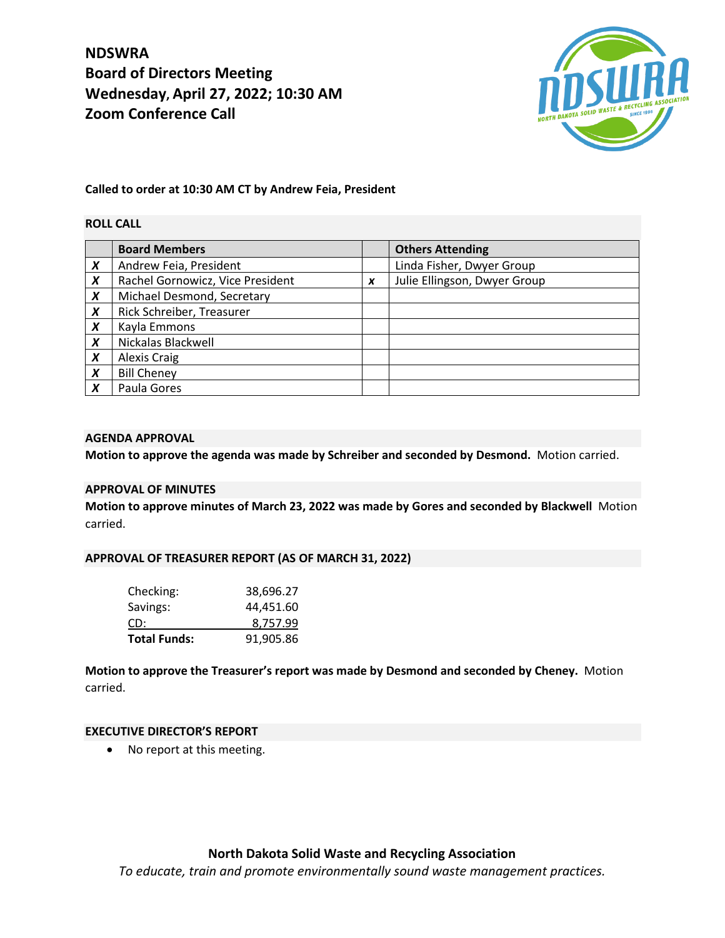**NDSWRA Board of Directors Meeting Wednesday, April 27, 2022; 10:30 AM Zoom Conference Call**



# **Called to order at 10:30 AM CT by Andrew Feia, President**

# **ROLL CALL**

|                  | <b>Board Members</b>             |   | <b>Others Attending</b>      |
|------------------|----------------------------------|---|------------------------------|
| X                | Andrew Feia, President           |   | Linda Fisher, Dwyer Group    |
| $\boldsymbol{x}$ | Rachel Gornowicz, Vice President | X | Julie Ellingson, Dwyer Group |
| X                | Michael Desmond, Secretary       |   |                              |
| X                | Rick Schreiber, Treasurer        |   |                              |
| $\boldsymbol{X}$ | Kayla Emmons                     |   |                              |
| X                | Nickalas Blackwell               |   |                              |
| X                | Alexis Craig                     |   |                              |
| $\boldsymbol{X}$ | <b>Bill Cheney</b>               |   |                              |
| X                | Paula Gores                      |   |                              |

#### **AGENDA APPROVAL**

**Motion to approve the agenda was made by Schreiber and seconded by Desmond.** Motion carried.

# **APPROVAL OF MINUTES**

**Motion to approve minutes of March 23, 2022 was made by Gores and seconded by Blackwell** Motion carried.

#### **APPROVAL OF TREASURER REPORT (AS OF MARCH 31, 2022)**

| Checking:           | 38,696.27 |
|---------------------|-----------|
| Savings:            | 44,451.60 |
| CD:                 | 8,757.99  |
| <b>Total Funds:</b> | 91,905.86 |

**Motion to approve the Treasurer's report was made by Desmond and seconded by Cheney.** Motion carried.

#### **EXECUTIVE DIRECTOR'S REPORT**

• No report at this meeting.

# **North Dakota Solid Waste and Recycling Association**

*To educate, train and promote environmentally sound waste management practices.*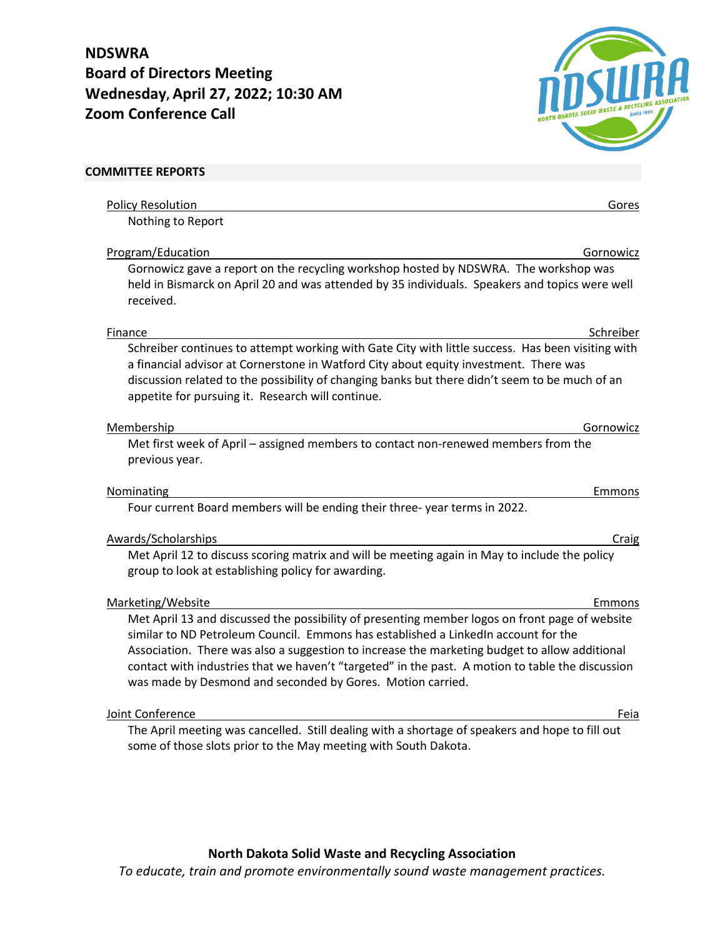**NDSWRA Board of Directors Meeting Wednesday, April 27, 2022; 10:30 AM Zoom Conference Call**



| <b>COMMITTEE REPORTS</b>                                                                                                                                                                                                                                                                                                                                                                                                                                |
|---------------------------------------------------------------------------------------------------------------------------------------------------------------------------------------------------------------------------------------------------------------------------------------------------------------------------------------------------------------------------------------------------------------------------------------------------------|
| <b>Policy Resolution</b><br>Gores                                                                                                                                                                                                                                                                                                                                                                                                                       |
| Nothing to Report                                                                                                                                                                                                                                                                                                                                                                                                                                       |
| Program/Education<br>Gornowicz                                                                                                                                                                                                                                                                                                                                                                                                                          |
| Gornowicz gave a report on the recycling workshop hosted by NDSWRA. The workshop was<br>held in Bismarck on April 20 and was attended by 35 individuals. Speakers and topics were well<br>received.                                                                                                                                                                                                                                                     |
| Schreiber<br>Finance                                                                                                                                                                                                                                                                                                                                                                                                                                    |
| Schreiber continues to attempt working with Gate City with little success. Has been visiting with<br>a financial advisor at Cornerstone in Watford City about equity investment. There was<br>discussion related to the possibility of changing banks but there didn't seem to be much of an<br>appetite for pursuing it. Research will continue.                                                                                                       |
| Membership<br>Gornowicz                                                                                                                                                                                                                                                                                                                                                                                                                                 |
| Met first week of April - assigned members to contact non-renewed members from the<br>previous year.                                                                                                                                                                                                                                                                                                                                                    |
| Nominating<br>Emmons                                                                                                                                                                                                                                                                                                                                                                                                                                    |
| Four current Board members will be ending their three-year terms in 2022.                                                                                                                                                                                                                                                                                                                                                                               |
| Awards/Scholarships<br>Craig                                                                                                                                                                                                                                                                                                                                                                                                                            |
| Met April 12 to discuss scoring matrix and will be meeting again in May to include the policy<br>group to look at establishing policy for awarding.                                                                                                                                                                                                                                                                                                     |
| Marketing/Website<br>Emmons                                                                                                                                                                                                                                                                                                                                                                                                                             |
| Met April 13 and discussed the possibility of presenting member logos on front page of website<br>similar to ND Petroleum Council. Emmons has established a LinkedIn account for the<br>Association. There was also a suggestion to increase the marketing budget to allow additional<br>contact with industries that we haven't "targeted" in the past. A motion to table the discussion<br>was made by Desmond and seconded by Gores. Motion carried. |
| Joint Conference<br>Feia                                                                                                                                                                                                                                                                                                                                                                                                                                |
| The April meeting was cancelled. Still dealing with a shortage of speakers and hope to fill out<br>some of those slots prior to the May meeting with South Dakota.                                                                                                                                                                                                                                                                                      |

# **North Dakota Solid Waste and Recycling Association**

*To educate, train and promote environmentally sound waste management practices.*